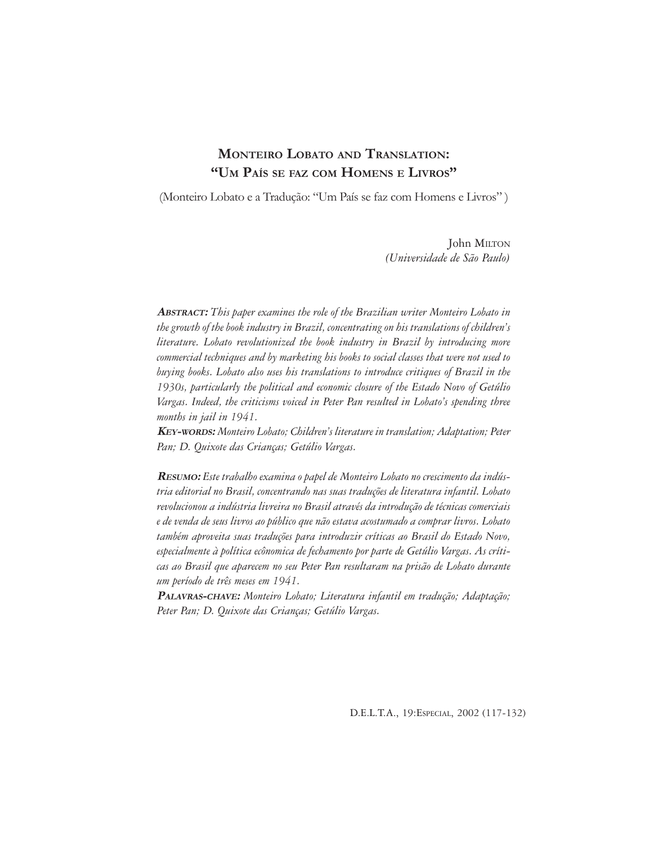# **MONTEIRO LOBATO AND TRANSLATION: "UM PAÍS SE FAZ COM HOMENS E LIVROS"**

(Monteiro Lobato e a Tradução: "Um País se faz com Homens e Livros" )

John MILTON *(Universidade de São Paulo)*

**ABSTRACT:** *This paper examines the role of the Brazilian writer Monteiro Lobato in the growth of the book industry in Brazil, concentrating on his translations of children's literature. Lobato revolutionized the book industry in Brazil by introducing more commercial techniques and by marketing his books to social classes that were not used to buying books. Lobato also uses his translations to introduce critiques of Brazil in the 1930s, particularly the political and economic closure of the Estado Novo of Getúlio Vargas. Indeed, the criticisms voiced in Peter Pan resulted in Lobato's spending three months in jail in 1941.*

**KEY-WORDS:** *Monteiro Lobato; Children's literature in translation; Adaptation; Peter Pan; D. Quixote das Crianças; Getúlio Vargas.*

**RESUMO:** *Este trabalho examina o papel de Monteiro Lobato no crescimento da indústria editorial no Brasil, concentrando nas suas traduções de literatura infantil. Lobato revolucionou a indústria livreira no Brasil através da introdução de técnicas comerciais e de venda de seus livros ao público que não estava acostumado a comprar livros. Lobato também aproveita suas traduções para introduzir críticas ao Brasil do Estado Novo, especialmente à política ecônomica de fechamento por parte de Getúlio Vargas. As críticas ao Brasil que aparecem no seu Peter Pan resultaram na prisão de Lobato durante um período de três meses em 1941.*

**PALAVRAS-CHAVE:** *Monteiro Lobato; Literatura infantil em tradução; Adaptação; Peter Pan; D. Quixote das Crianças; Getúlio Vargas.*

D.E.L.T.A., 19:ESPECIAL, 2002 (117-132)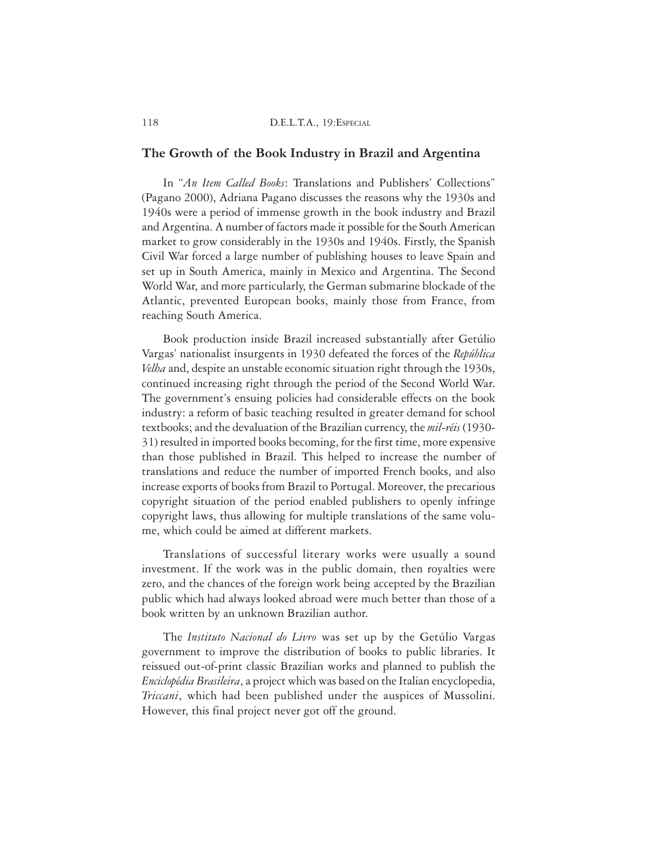## **The Growth of the Book Industry in Brazil and Argentina**

In "*An Item Called Books*: Translations and Publishers' Collections" (Pagano 2000), Adriana Pagano discusses the reasons why the 1930s and 1940s were a period of immense growth in the book industry and Brazil and Argentina. A number of factors made it possible for the South American market to grow considerably in the 1930s and 1940s. Firstly, the Spanish Civil War forced a large number of publishing houses to leave Spain and set up in South America, mainly in Mexico and Argentina. The Second World War, and more particularly, the German submarine blockade of the Atlantic, prevented European books, mainly those from France, from reaching South America.

Book production inside Brazil increased substantially after Getúlio Vargas' nationalist insurgents in 1930 defeated the forces of the *República Velha* and, despite an unstable economic situation right through the 1930s, continued increasing right through the period of the Second World War. The government's ensuing policies had considerable effects on the book industry: a reform of basic teaching resulted in greater demand for school textbooks; and the devaluation of the Brazilian currency, the *mil-réis* (1930- 31) resulted in imported books becoming, for the first time, more expensive than those published in Brazil. This helped to increase the number of translations and reduce the number of imported French books, and also increase exports of books from Brazil to Portugal. Moreover, the precarious copyright situation of the period enabled publishers to openly infringe copyright laws, thus allowing for multiple translations of the same volume, which could be aimed at different markets.

Translations of successful literary works were usually a sound investment. If the work was in the public domain, then royalties were zero, and the chances of the foreign work being accepted by the Brazilian public which had always looked abroad were much better than those of a book written by an unknown Brazilian author.

The *Instituto Nacional do Livro* was set up by the Getúlio Vargas government to improve the distribution of books to public libraries. It reissued out-of-print classic Brazilian works and planned to publish the *Enciclopédia Brasileira*, a project which was based on the Italian encyclopedia, *Triccani*, which had been published under the auspices of Mussolini. However, this final project never got off the ground.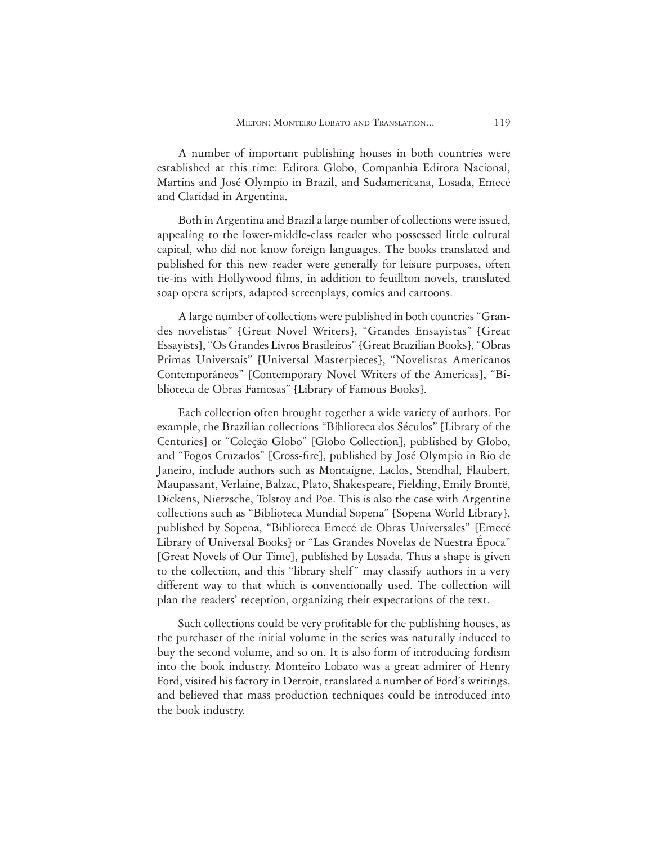A number of important publishing houses in both countries were established at this time: Editora Globo, Companhia Editora Nacional, Martins and José Olympio in Brazil, and Sudamericana, Losada, Emecé and Claridad in Argentina.

Both in Argentina and Brazil a large number of collections were issued, appealing to the lower-middle-class reader who possessed little cultural capital, who did not know foreign languages. The books translated and published for this new reader were generally for leisure purposes, often tie-ins with Hollywood films, in addition to feuillton novels, translated soap opera scripts, adapted screenplays, comics and cartoons.

A large number of collections were published in both countries "Grandes novelistas" [Great Novel Writers], "Grandes Ensayistas" [Great Essayists], "Os Grandes Livros Brasileiros" [Great Brazilian Books], "Obras Primas Universais" [Universal Masterpieces], "Novelistas Americanos Contemporáneos" [Contemporary Novel Writers of the Americas], "Biblioteca de Obras Famosas" [Library of Famous Books].

Each collection often brought together a wide variety of authors. For example, the Brazilian collections "Biblioteca dos Séculos" [Library of the Centuries] or "Coleção Globo" [Globo Collection], published by Globo, and "Fogos Cruzados" [Cross-fire], published by José Olympio in Rio de Janeiro, include authors such as Montaigne, Laclos, Stendhal, Flaubert, Maupassant, Verlaine, Balzac, Plato, Shakespeare, Fielding, Emily Brontë, Dickens, Nietzsche, Tolstoy and Poe. This is also the case with Argentine collections such as "Biblioteca Mundial Sopena" [Sopena World Library], published by Sopena, "Biblioteca Emecé de Obras Universales" [Emecé Library of Universal Books] or "Las Grandes Novelas de Nuestra Época" [Great Novels of Our Time], published by Losada. Thus a shape is given to the collection, and this "library shelf" may classify authors in a very different way to that which is conventionally used. The collection will plan the readers' reception, organizing their expectations of the text.

Such collections could be very profitable for the publishing houses, as the purchaser of the initial volume in the series was naturally induced to buy the second volume, and so on. It is also form of introducing fordism into the book industry. Monteiro Lobato was a great admirer of Henry Ford, visited his factory in Detroit, translated a number of Ford's writings, and believed that mass production techniques could be introduced into the book industry.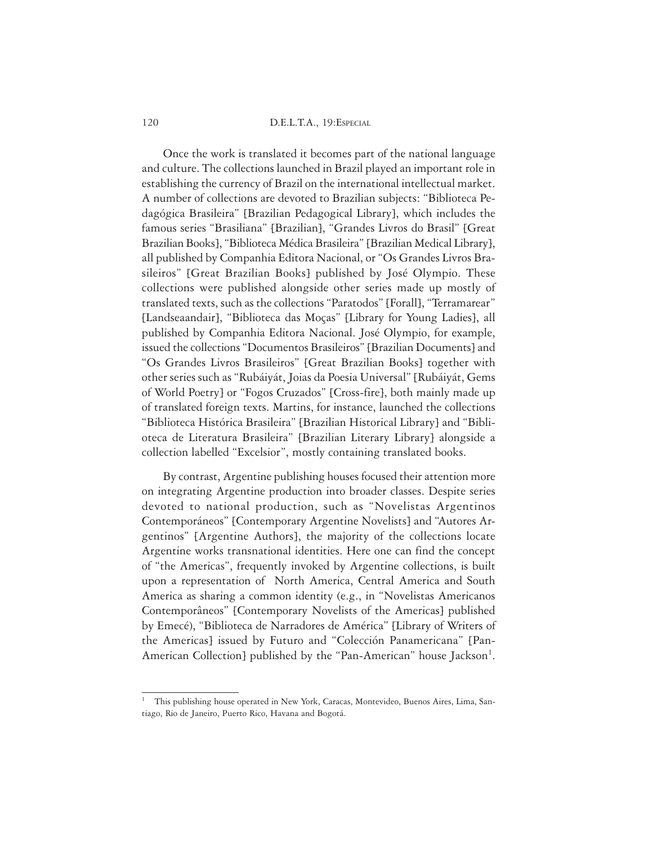Once the work is translated it becomes part of the national language and culture. The collections launched in Brazil played an important role in establishing the currency of Brazil on the international intellectual market. A number of collections are devoted to Brazilian subjects: "Biblioteca Pedagógica Brasileira" [Brazilian Pedagogical Library], which includes the famous series "Brasiliana" [Brazilian], "Grandes Livros do Brasil" [Great Brazilian Books], "Biblioteca Médica Brasileira" [Brazilian Medical Library], all published by Companhia Editora Nacional, or "Os Grandes Livros Brasileiros" [Great Brazilian Books] published by José Olympio. These collections were published alongside other series made up mostly of translated texts, such as the collections "Paratodos" [Forall], "Terramarear" [Landseaandair], "Biblioteca das Moças" [Library for Young Ladies], all published by Companhia Editora Nacional. José Olympio, for example, issued the collections "Documentos Brasileiros" [Brazilian Documents] and "Os Grandes Livros Brasileiros" [Great Brazilian Books] together with other series such as "Rubáiyát, Joias da Poesia Universal" [Rubáiyát, Gems of World Poetry] or "Fogos Cruzados" [Cross-fire], both mainly made up of translated foreign texts. Martins, for instance, launched the collections "Biblioteca Histórica Brasileira" [Brazilian Historical Library] and "Biblioteca de Literatura Brasileira" [Brazilian Literary Library] alongside a collection labelled "Excelsior", mostly containing translated books.

By contrast, Argentine publishing houses focused their attention more on integrating Argentine production into broader classes. Despite series devoted to national production, such as "Novelistas Argentinos Contemporáneos" [Contemporary Argentine Novelists] and "Autores Argentinos" [Argentine Authors], the majority of the collections locate Argentine works transnational identities. Here one can find the concept of "the Americas", frequently invoked by Argentine collections, is built upon a representation of North America, Central America and South America as sharing a common identity (e.g., in "Novelistas Americanos Contemporâneos" [Contemporary Novelists of the Americas] published by Emecé), "Biblioteca de Narradores de América" [Library of Writers of the Americas] issued by Futuro and "Colección Panamericana" [Pan-American Collection] published by the "Pan-American" house Jackson<sup>1</sup>.

 $1$  This publishing house operated in New York, Caracas, Montevideo, Buenos Aires, Lima, Santiago, Rio de Janeiro, Puerto Rico, Havana and Bogotá.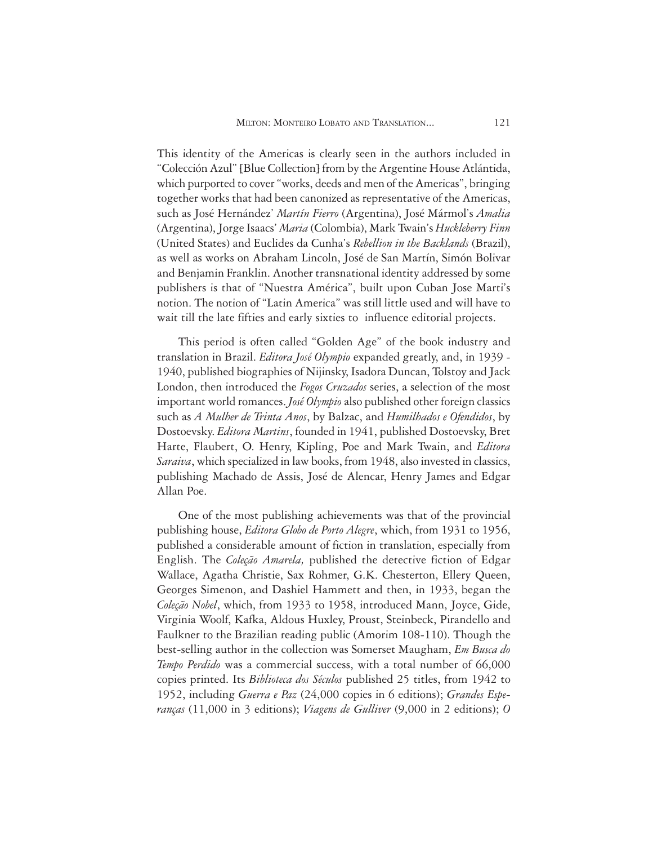This identity of the Americas is clearly seen in the authors included in "Colección Azul" [Blue Collection] from by the Argentine House Atlántida, which purported to cover "works, deeds and men of the Americas", bringing together works that had been canonized as representative of the Americas, such as José Hernández' *Martín Fierro* (Argentina), José Mármol's *Amalia* (Argentina), Jorge Isaacs' *Maria* (Colombia), Mark Twain's *Huckleberry Finn* (United States) and Euclides da Cunha's *Rebellion in the Backlands* (Brazil), as well as works on Abraham Lincoln, José de San Martín, Simón Bolivar and Benjamin Franklin. Another transnational identity addressed by some publishers is that of "Nuestra América", built upon Cuban Jose Marti's notion. The notion of "Latin America" was still little used and will have to wait till the late fifties and early sixties to influence editorial projects.

This period is often called "Golden Age" of the book industry and translation in Brazil. *Editora José Olympio* expanded greatly, and, in 1939 - 1940, published biographies of Nijinsky, Isadora Duncan, Tolstoy and Jack London, then introduced the *Fogos Cruzados* series, a selection of the most important world romances. *José Olympio* also published other foreign classics such as *A Mulher de Trinta Anos*, by Balzac, and *Humilhados e Ofendidos*, by Dostoevsky. *Editora Martins*, founded in 1941, published Dostoevsky, Bret Harte, Flaubert, O. Henry, Kipling, Poe and Mark Twain, and *Editora Saraiva*, which specialized in law books, from 1948, also invested in classics, publishing Machado de Assis, José de Alencar, Henry James and Edgar Allan Poe.

One of the most publishing achievements was that of the provincial publishing house, *Editora Globo de Porto Alegre*, which, from 1931 to 1956, published a considerable amount of fiction in translation, especially from English. The *Coleção Amarela,* published the detective fiction of Edgar Wallace, Agatha Christie, Sax Rohmer, G.K. Chesterton, Ellery Queen, Georges Simenon, and Dashiel Hammett and then, in 1933, began the *Coleção Nobel*, which, from 1933 to 1958, introduced Mann, Joyce, Gide, Virginia Woolf, Kafka, Aldous Huxley, Proust, Steinbeck, Pirandello and Faulkner to the Brazilian reading public (Amorim 108-110). Though the best-selling author in the collection was Somerset Maugham, *Em Busca do Tempo Perdido* was a commercial success, with a total number of 66,000 copies printed. Its *Biblioteca dos Séculos* published 25 titles, from 1942 to 1952, including *Guerra e Paz* (24,000 copies in 6 editions); *Grandes Esperanças* (11,000 in 3 editions); *Viagens de Gulliver* (9,000 in 2 editions); *O*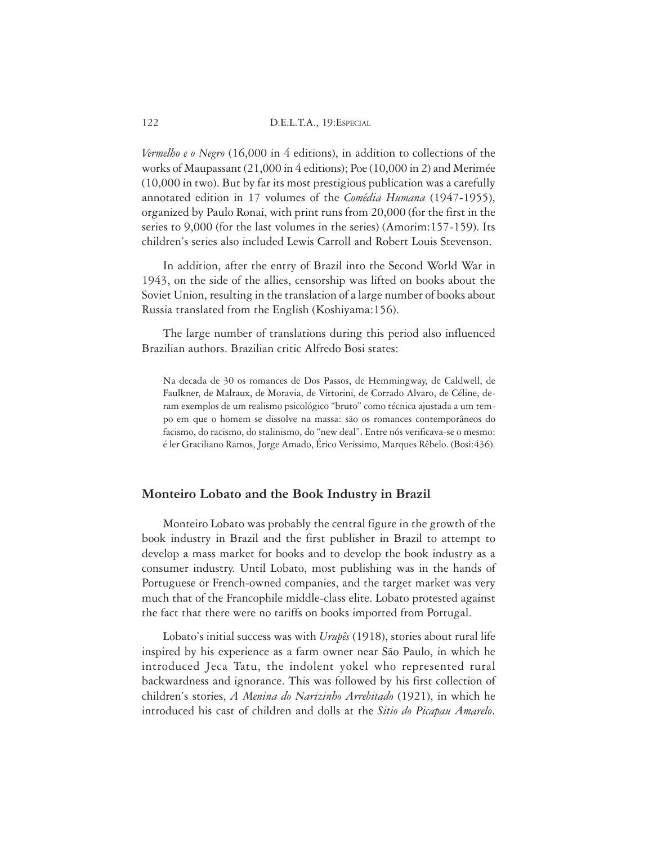*Vermelho e o Negro* (16,000 in 4 editions), in addition to collections of the works of Maupassant (21,000 in 4 editions); Poe (10,000 in 2) and Merimée (10,000 in two). But by far its most prestigious publication was a carefully annotated edition in 17 volumes of the *Comédia Humana* (1947-1955), organized by Paulo Ronai, with print runs from 20,000 (for the first in the series to 9,000 (for the last volumes in the series) (Amorim:157-159). Its children's series also included Lewis Carroll and Robert Louis Stevenson.

In addition, after the entry of Brazil into the Second World War in 1943, on the side of the allies, censorship was lifted on books about the Soviet Union, resulting in the translation of a large number of books about Russia translated from the English (Koshiyama:156).

The large number of translations during this period also influenced Brazilian authors. Brazilian critic Alfredo Bosi states:

Na decada de 30 os romances de Dos Passos, de Hemmingway, de Caldwell, de Faulkner, de Malraux, de Moravia, de Vittorini, de Corrado Alvaro, de Céline, deram exemplos de um realismo psicológico "bruto" como técnica ajustada a um tempo em que o homem se dissolve na massa: são os romances contemporâneos do facismo, do racismo, do stalinismo, do "new deal". Entre nós verificava-se o mesmo: é ler Graciliano Ramos, Jorge Amado, Érico Veríssimo, Marques Rêbelo. (Bosi:436).

## **Monteiro Lobato and the Book Industry in Brazil**

Monteiro Lobato was probably the central figure in the growth of the book industry in Brazil and the first publisher in Brazil to attempt to develop a mass market for books and to develop the book industry as a consumer industry. Until Lobato, most publishing was in the hands of Portuguese or French-owned companies, and the target market was very much that of the Francophile middle-class elite. Lobato protested against the fact that there were no tariffs on books imported from Portugal.

Lobato's initial success was with *Urupês* (1918), stories about rural life inspired by his experience as a farm owner near São Paulo, in which he introduced Jeca Tatu, the indolent yokel who represented rural backwardness and ignorance. This was followed by his first collection of children's stories, *A Menina do Narizinho Arrebitado* (1921), in which he introduced his cast of children and dolls at the *Sitio do Picapau Amarelo.*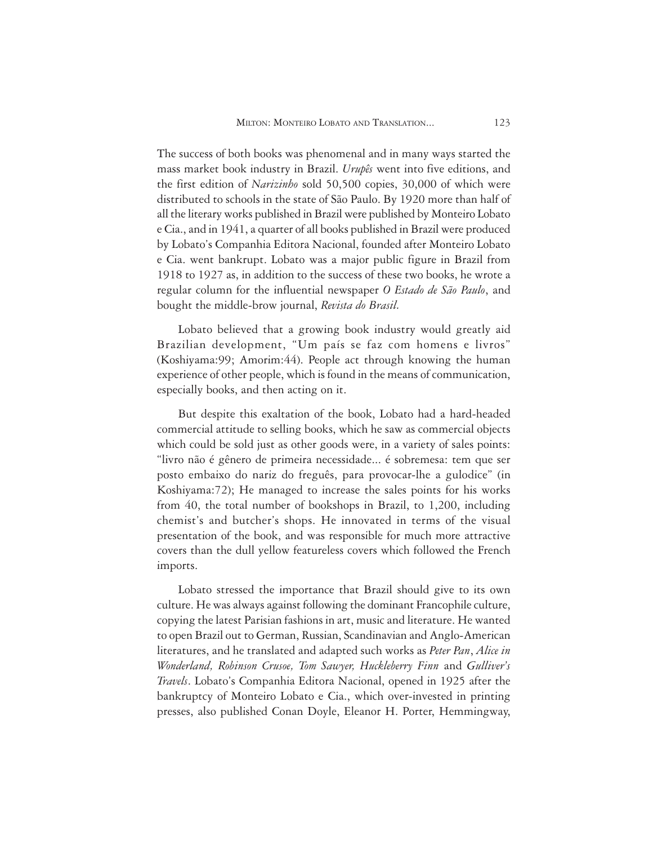The success of both books was phenomenal and in many ways started the mass market book industry in Brazil. *Urupês* went into five editions, and the first edition of *Narizinho* sold 50,500 copies, 30,000 of which were distributed to schools in the state of São Paulo. By 1920 more than half of all the literary works published in Brazil were published by Monteiro Lobato e Cia., and in 1941, a quarter of all books published in Brazil were produced by Lobato's Companhia Editora Nacional, founded after Monteiro Lobato e Cia. went bankrupt. Lobato was a major public figure in Brazil from 1918 to 1927 as, in addition to the success of these two books, he wrote a regular column for the influential newspaper *O Estado de São Paulo*, and bought the middle-brow journal, *Revista do Brasil.*

Lobato believed that a growing book industry would greatly aid Brazilian development, "Um país se faz com homens e livros" (Koshiyama:99; Amorim:44). People act through knowing the human experience of other people, which is found in the means of communication, especially books, and then acting on it.

But despite this exaltation of the book, Lobato had a hard-headed commercial attitude to selling books, which he saw as commercial objects which could be sold just as other goods were, in a variety of sales points: "livro não é gênero de primeira necessidade... é sobremesa: tem que ser posto embaixo do nariz do freguês, para provocar-lhe a gulodice" (in Koshiyama:72); He managed to increase the sales points for his works from 40, the total number of bookshops in Brazil, to 1,200, including chemist's and butcher's shops. He innovated in terms of the visual presentation of the book, and was responsible for much more attractive covers than the dull yellow featureless covers which followed the French imports.

Lobato stressed the importance that Brazil should give to its own culture. He was always against following the dominant Francophile culture, copying the latest Parisian fashions in art, music and literature. He wanted to open Brazil out to German, Russian, Scandinavian and Anglo-American literatures, and he translated and adapted such works as *Peter Pan*, *Alice in Wonderland, Robinson Crusoe, Tom Sawyer, Huckleberry Finn* and *Gulliver's Travels*. Lobato's Companhia Editora Nacional, opened in 1925 after the bankruptcy of Monteiro Lobato e Cia., which over-invested in printing presses, also published Conan Doyle, Eleanor H. Porter, Hemmingway,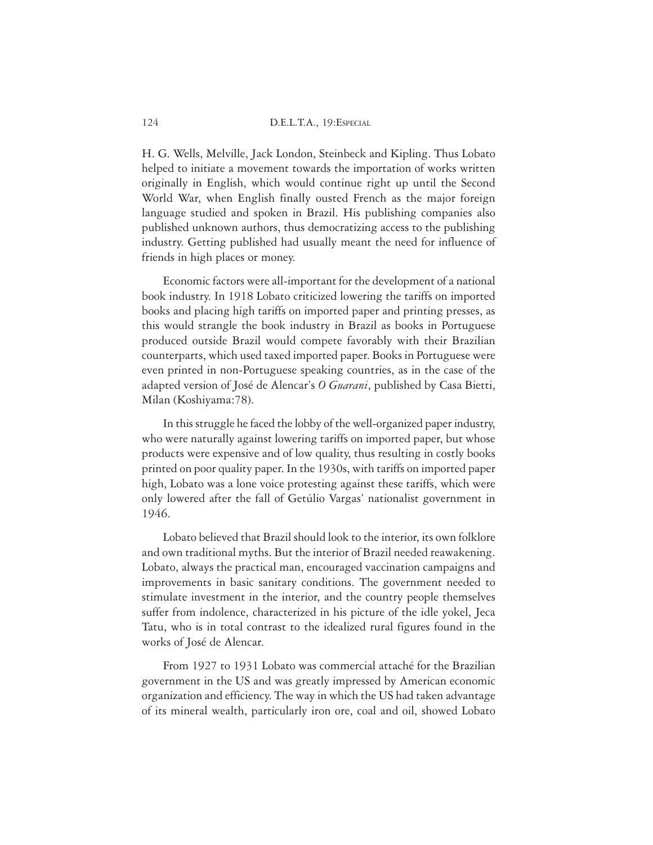H. G. Wells, Melville, Jack London, Steinbeck and Kipling. Thus Lobato helped to initiate a movement towards the importation of works written originally in English, which would continue right up until the Second World War, when English finally ousted French as the major foreign language studied and spoken in Brazil. His publishing companies also published unknown authors, thus democratizing access to the publishing industry. Getting published had usually meant the need for influence of friends in high places or money.

Economic factors were all-important for the development of a national book industry. In 1918 Lobato criticized lowering the tariffs on imported books and placing high tariffs on imported paper and printing presses, as this would strangle the book industry in Brazil as books in Portuguese produced outside Brazil would compete favorably with their Brazilian counterparts, which used taxed imported paper. Books in Portuguese were even printed in non-Portuguese speaking countries, as in the case of the adapted version of José de Alencar's *O Guarani*, published by Casa Bietti, Milan (Koshiyama:78).

In this struggle he faced the lobby of the well-organized paper industry, who were naturally against lowering tariffs on imported paper, but whose products were expensive and of low quality, thus resulting in costly books printed on poor quality paper. In the 1930s, with tariffs on imported paper high, Lobato was a lone voice protesting against these tariffs, which were only lowered after the fall of Getúlio Vargas' nationalist government in 1946.

Lobato believed that Brazil should look to the interior, its own folklore and own traditional myths. But the interior of Brazil needed reawakening. Lobato, always the practical man, encouraged vaccination campaigns and improvements in basic sanitary conditions. The government needed to stimulate investment in the interior, and the country people themselves suffer from indolence, characterized in his picture of the idle yokel, Jeca Tatu, who is in total contrast to the idealized rural figures found in the works of José de Alencar.

From 1927 to 1931 Lobato was commercial attaché for the Brazilian government in the US and was greatly impressed by American economic organization and efficiency. The way in which the US had taken advantage of its mineral wealth, particularly iron ore, coal and oil, showed Lobato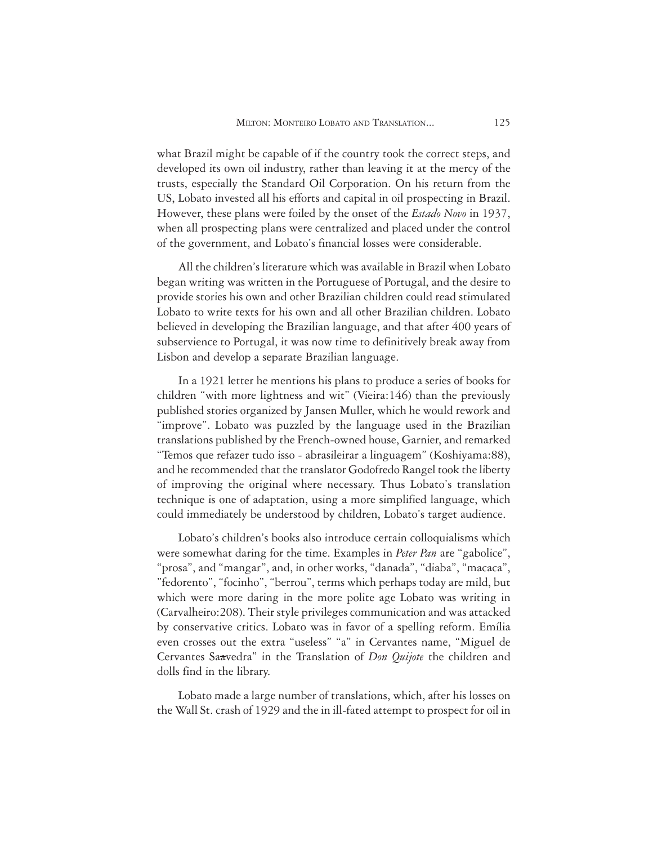what Brazil might be capable of if the country took the correct steps, and developed its own oil industry, rather than leaving it at the mercy of the trusts, especially the Standard Oil Corporation. On his return from the US, Lobato invested all his efforts and capital in oil prospecting in Brazil. However, these plans were foiled by the onset of the *Estado Novo* in 1937, when all prospecting plans were centralized and placed under the control of the government, and Lobato's financial losses were considerable.

All the children's literature which was available in Brazil when Lobato began writing was written in the Portuguese of Portugal, and the desire to provide stories his own and other Brazilian children could read stimulated Lobato to write texts for his own and all other Brazilian children. Lobato believed in developing the Brazilian language, and that after 400 years of subservience to Portugal, it was now time to definitively break away from Lisbon and develop a separate Brazilian language.

In a 1921 letter he mentions his plans to produce a series of books for children "with more lightness and wit" (Vieira:146) than the previously published stories organized by Jansen Muller, which he would rework and "improve". Lobato was puzzled by the language used in the Brazilian translations published by the French-owned house, Garnier, and remarked "Temos que refazer tudo isso - abrasileirar a linguagem" (Koshiyama:88), and he recommended that the translator Godofredo Rangel took the liberty of improving the original where necessary. Thus Lobato's translation technique is one of adaptation, using a more simplified language, which could immediately be understood by children, Lobato's target audience.

Lobato's children's books also introduce certain colloquialisms which were somewhat daring for the time. Examples in *Peter Pan* are "gabolice", "prosa", and "mangar", and, in other works, "danada", "diaba", "macaca", "fedorento", "focinho", "berrou", terms which perhaps today are mild, but which were more daring in the more polite age Lobato was writing in (Carvalheiro:208). Their style privileges communication and was attacked by conservative critics. Lobato was in favor of a spelling reform. Emília even crosses out the extra "useless" "a" in Cervantes name, "Miguel de Cervantes Saavedra" in the Translation of *Don Quijote* the children and dolls find in the library.

Lobato made a large number of translations, which, after his losses on the Wall St. crash of 1929 and the in ill-fated attempt to prospect for oil in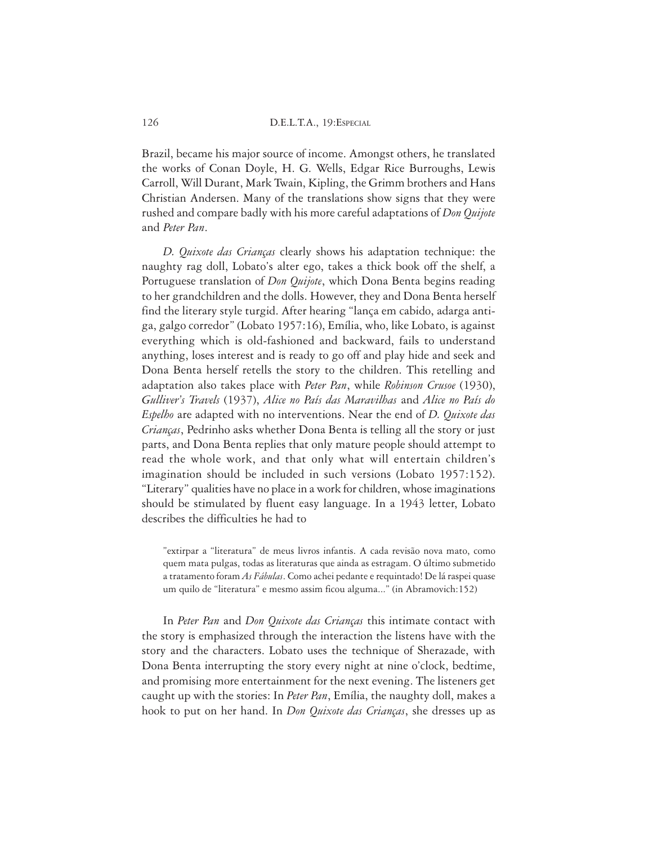Brazil, became his major source of income. Amongst others, he translated the works of Conan Doyle, H. G. Wells, Edgar Rice Burroughs, Lewis Carroll, Will Durant, Mark Twain, Kipling, the Grimm brothers and Hans Christian Andersen. Many of the translations show signs that they were rushed and compare badly with his more careful adaptations of *Don Quijote* and *Peter Pan*.

*D. Quixote das Crianças* clearly shows his adaptation technique: the naughty rag doll, Lobato's alter ego, takes a thick book off the shelf, a Portuguese translation of *Don Quijote*, which Dona Benta begins reading to her grandchildren and the dolls. However, they and Dona Benta herself find the literary style turgid. After hearing "lança em cabido, adarga antiga, galgo corredor" (Lobato 1957:16), Emília, who, like Lobato, is against everything which is old-fashioned and backward, fails to understand anything, loses interest and is ready to go off and play hide and seek and Dona Benta herself retells the story to the children. This retelling and adaptation also takes place with *Peter Pan*, while *Robinson Crusoe* (1930), *Gulliver's Travels* (1937), *Alice no País das Maravilhas* and *Alice no País do Espelho* are adapted with no interventions. Near the end of *D. Quixote das Crianças*, Pedrinho asks whether Dona Benta is telling all the story or just parts, and Dona Benta replies that only mature people should attempt to read the whole work, and that only what will entertain children's imagination should be included in such versions (Lobato 1957:152). "Literary" qualities have no place in a work for children, whose imaginations should be stimulated by fluent easy language. In a 1943 letter, Lobato describes the difficulties he had to

"extirpar a "literatura" de meus livros infantis. A cada revisão nova mato, como quem mata pulgas, todas as literaturas que ainda as estragam. O último submetido a tratamento foram *As Fábulas*. Como achei pedante e requintado! De lá raspei quase um quilo de "literatura" e mesmo assim ficou alguma..." (in Abramovich:152)

In *Peter Pan* and *Don Quixote das Crianças* this intimate contact with the story is emphasized through the interaction the listens have with the story and the characters. Lobato uses the technique of Sherazade, with Dona Benta interrupting the story every night at nine o'clock, bedtime, and promising more entertainment for the next evening. The listeners get caught up with the stories: In *Peter Pan*, Emília, the naughty doll, makes a hook to put on her hand. In *Don Quixote das Crianças*, she dresses up as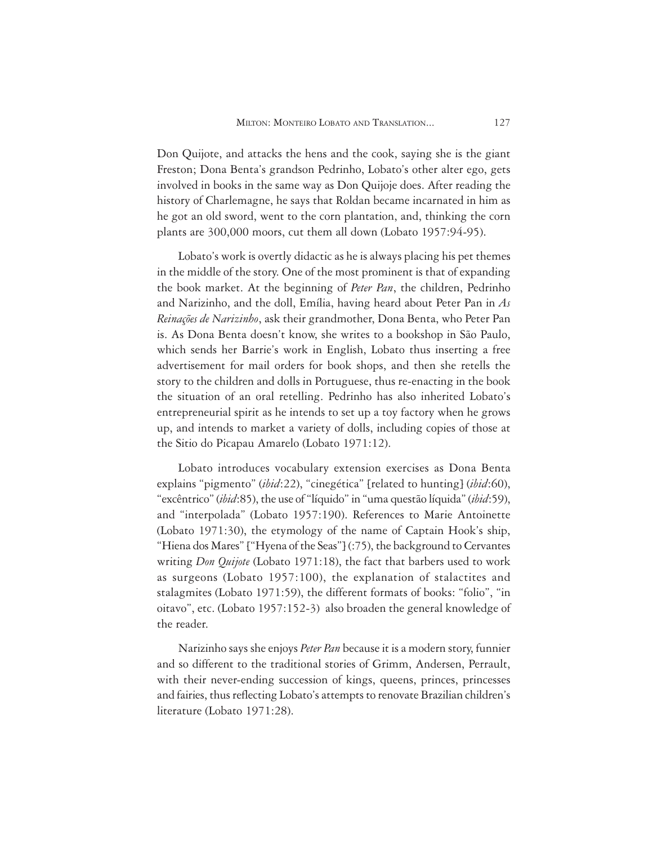Don Quijote, and attacks the hens and the cook, saying she is the giant Freston; Dona Benta's grandson Pedrinho, Lobato's other alter ego, gets involved in books in the same way as Don Quijoje does. After reading the history of Charlemagne, he says that Roldan became incarnated in him as he got an old sword, went to the corn plantation, and, thinking the corn plants are 300,000 moors, cut them all down (Lobato 1957:94-95).

Lobato's work is overtly didactic as he is always placing his pet themes in the middle of the story. One of the most prominent is that of expanding the book market. At the beginning of *Peter Pan*, the children, Pedrinho and Narizinho, and the doll, Emília, having heard about Peter Pan in *As Reinações de Narizinho*, ask their grandmother, Dona Benta, who Peter Pan is. As Dona Benta doesn't know, she writes to a bookshop in São Paulo, which sends her Barrie's work in English, Lobato thus inserting a free advertisement for mail orders for book shops, and then she retells the story to the children and dolls in Portuguese, thus re-enacting in the book the situation of an oral retelling. Pedrinho has also inherited Lobato's entrepreneurial spirit as he intends to set up a toy factory when he grows up, and intends to market a variety of dolls, including copies of those at the Sitio do Picapau Amarelo (Lobato 1971:12).

Lobato introduces vocabulary extension exercises as Dona Benta explains "pigmento" (*ibid*:22), "cinegética" [related to hunting] (*ibid*:60), "excêntrico" (*ibid*:85), the use of "líquido" in "uma questão líquida" (*ibid*:59), and "interpolada" (Lobato 1957:190). References to Marie Antoinette (Lobato 1971:30), the etymology of the name of Captain Hook's ship, "Hiena dos Mares" ["Hyena of the Seas"] (:75), the background to Cervantes writing *Don Quijote* (Lobato 1971:18), the fact that barbers used to work as surgeons (Lobato 1957:100), the explanation of stalactites and stalagmites (Lobato 1971:59), the different formats of books: "folio", "in oitavo", etc. (Lobato 1957:152-3) also broaden the general knowledge of the reader.

Narizinho says she enjoys *Peter Pan* because it is a modern story, funnier and so different to the traditional stories of Grimm, Andersen, Perrault, with their never-ending succession of kings, queens, princes, princesses and fairies, thus reflecting Lobato's attempts to renovate Brazilian children's literature (Lobato 1971:28).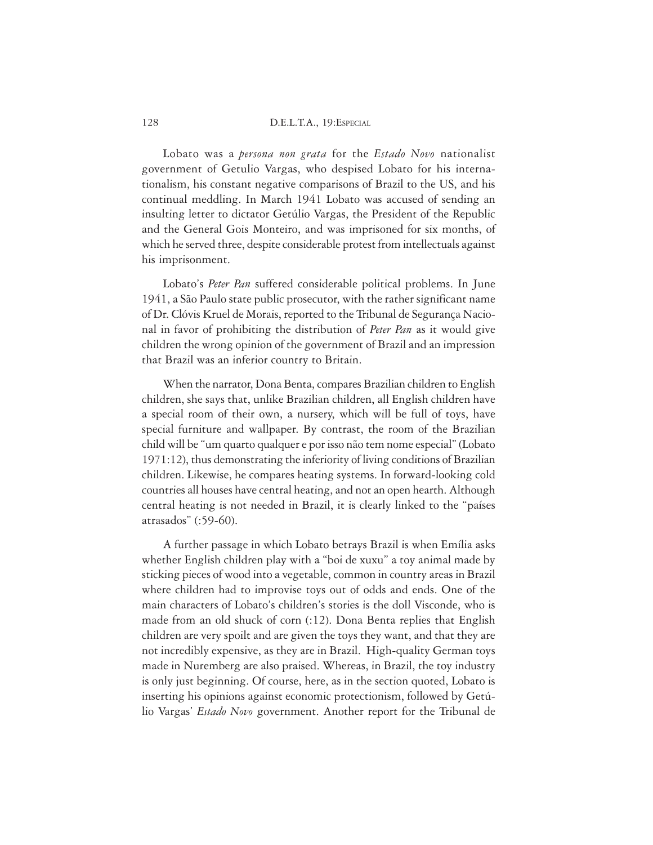Lobato was a *persona non grata* for the *Estado Novo* nationalist government of Getulio Vargas, who despised Lobato for his internationalism, his constant negative comparisons of Brazil to the US, and his continual meddling. In March 1941 Lobato was accused of sending an insulting letter to dictator Getúlio Vargas, the President of the Republic and the General Gois Monteiro, and was imprisoned for six months, of which he served three, despite considerable protest from intellectuals against his imprisonment.

Lobato's *Peter Pan* suffered considerable political problems. In June 1941, a São Paulo state public prosecutor, with the rather significant name of Dr. Clóvis Kruel de Morais, reported to the Tribunal de Segurança Nacional in favor of prohibiting the distribution of *Peter Pan* as it would give children the wrong opinion of the government of Brazil and an impression that Brazil was an inferior country to Britain.

When the narrator, Dona Benta, compares Brazilian children to English children, she says that, unlike Brazilian children, all English children have a special room of their own, a nursery, which will be full of toys, have special furniture and wallpaper. By contrast, the room of the Brazilian child will be "um quarto qualquer e por isso não tem nome especial" (Lobato 1971:12), thus demonstrating the inferiority of living conditions of Brazilian children. Likewise, he compares heating systems. In forward-looking cold countries all houses have central heating, and not an open hearth. Although central heating is not needed in Brazil, it is clearly linked to the "países atrasados" (:59-60).

A further passage in which Lobato betrays Brazil is when Emília asks whether English children play with a "boi de xuxu" a toy animal made by sticking pieces of wood into a vegetable, common in country areas in Brazil where children had to improvise toys out of odds and ends. One of the main characters of Lobato's children's stories is the doll Visconde, who is made from an old shuck of corn (:12). Dona Benta replies that English children are very spoilt and are given the toys they want, and that they are not incredibly expensive, as they are in Brazil. High-quality German toys made in Nuremberg are also praised. Whereas, in Brazil, the toy industry is only just beginning. Of course, here, as in the section quoted, Lobato is inserting his opinions against economic protectionism, followed by Getúlio Vargas' *Estado Novo* government. Another report for the Tribunal de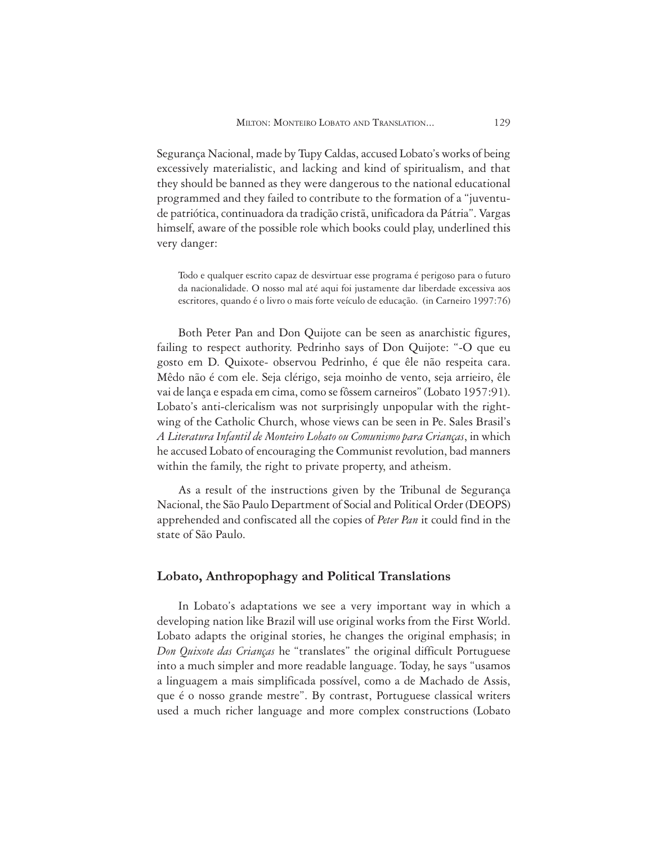Segurança Nacional, made by Tupy Caldas, accused Lobato's works of being excessively materialistic, and lacking and kind of spiritualism, and that they should be banned as they were dangerous to the national educational programmed and they failed to contribute to the formation of a "juventude patriótica, continuadora da tradição cristã, unificadora da Pátria". Vargas himself, aware of the possible role which books could play, underlined this very danger:

Todo e qualquer escrito capaz de desvirtuar esse programa é perigoso para o futuro da nacionalidade. O nosso mal até aqui foi justamente dar liberdade excessiva aos escritores, quando é o livro o mais forte veículo de educação. (in Carneiro 1997:76)

Both Peter Pan and Don Quijote can be seen as anarchistic figures, failing to respect authority. Pedrinho says of Don Quijote: "-O que eu gosto em D. Quixote- observou Pedrinho, é que êle não respeita cara. Mêdo não é com ele. Seja clérigo, seja moinho de vento, seja arrieiro, êle vai de lança e espada em cima, como se fôssem carneiros" (Lobato 1957:91). Lobato's anti-clericalism was not surprisingly unpopular with the rightwing of the Catholic Church, whose views can be seen in Pe. Sales Brasil's *A Literatura Infantil de Monteiro Lobato ou Comunismo para Crianças*, in which he accused Lobato of encouraging the Communist revolution, bad manners within the family, the right to private property, and atheism.

As a result of the instructions given by the Tribunal de Segurança Nacional, the São Paulo Department of Social and Political Order (DEOPS) apprehended and confiscated all the copies of *Peter Pan* it could find in the state of São Paulo.

# **Lobato, Anthropophagy and Political Translations**

In Lobato's adaptations we see a very important way in which a developing nation like Brazil will use original works from the First World. Lobato adapts the original stories, he changes the original emphasis; in *Don Quixote das Crianças* he "translates" the original difficult Portuguese into a much simpler and more readable language. Today, he says "usamos a linguagem a mais simplificada possível, como a de Machado de Assis, que é o nosso grande mestre". By contrast, Portuguese classical writers used a much richer language and more complex constructions (Lobato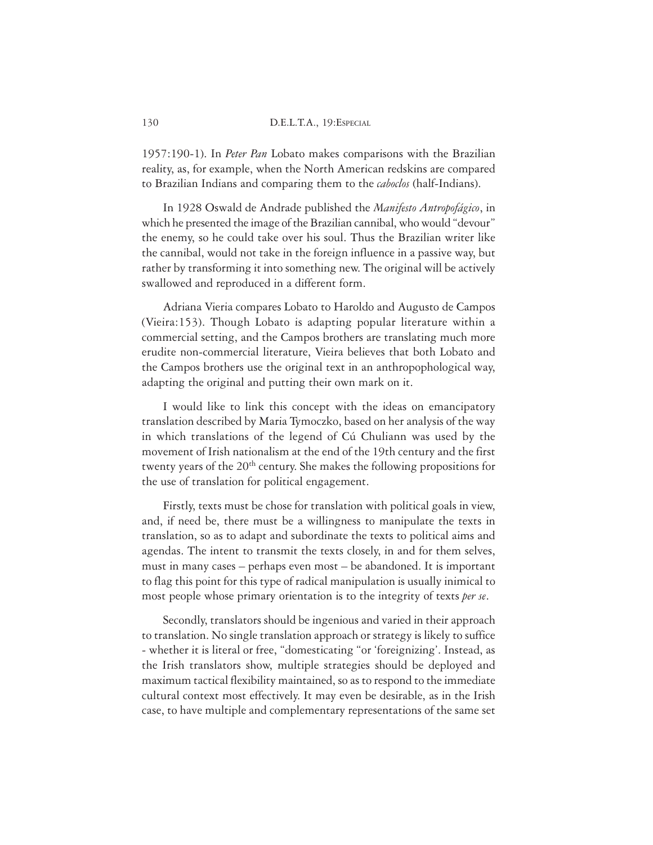1957:190-1). In *Peter Pan* Lobato makes comparisons with the Brazilian reality, as, for example, when the North American redskins are compared to Brazilian Indians and comparing them to the *caboclos* (half-Indians).

In 1928 Oswald de Andrade published the *Manifesto Antropofágico*, in which he presented the image of the Brazilian cannibal, who would "devour" the enemy, so he could take over his soul. Thus the Brazilian writer like the cannibal, would not take in the foreign influence in a passive way, but rather by transforming it into something new. The original will be actively swallowed and reproduced in a different form.

Adriana Vieria compares Lobato to Haroldo and Augusto de Campos (Vieira:153). Though Lobato is adapting popular literature within a commercial setting, and the Campos brothers are translating much more erudite non-commercial literature, Vieira believes that both Lobato and the Campos brothers use the original text in an anthropophological way, adapting the original and putting their own mark on it.

I would like to link this concept with the ideas on emancipatory translation described by Maria Tymoczko, based on her analysis of the way in which translations of the legend of Cú Chuliann was used by the movement of Irish nationalism at the end of the 19th century and the first twenty years of the  $20<sup>th</sup>$  century. She makes the following propositions for the use of translation for political engagement.

Firstly, texts must be chose for translation with political goals in view, and, if need be, there must be a willingness to manipulate the texts in translation, so as to adapt and subordinate the texts to political aims and agendas. The intent to transmit the texts closely, in and for them selves, must in many cases – perhaps even most – be abandoned. It is important to flag this point for this type of radical manipulation is usually inimical to most people whose primary orientation is to the integrity of texts *per se*.

Secondly, translators should be ingenious and varied in their approach to translation. No single translation approach or strategy is likely to suffice - whether it is literal or free, "domesticating "or 'foreignizing'. Instead, as the Irish translators show, multiple strategies should be deployed and maximum tactical flexibility maintained, so as to respond to the immediate cultural context most effectively. It may even be desirable, as in the Irish case, to have multiple and complementary representations of the same set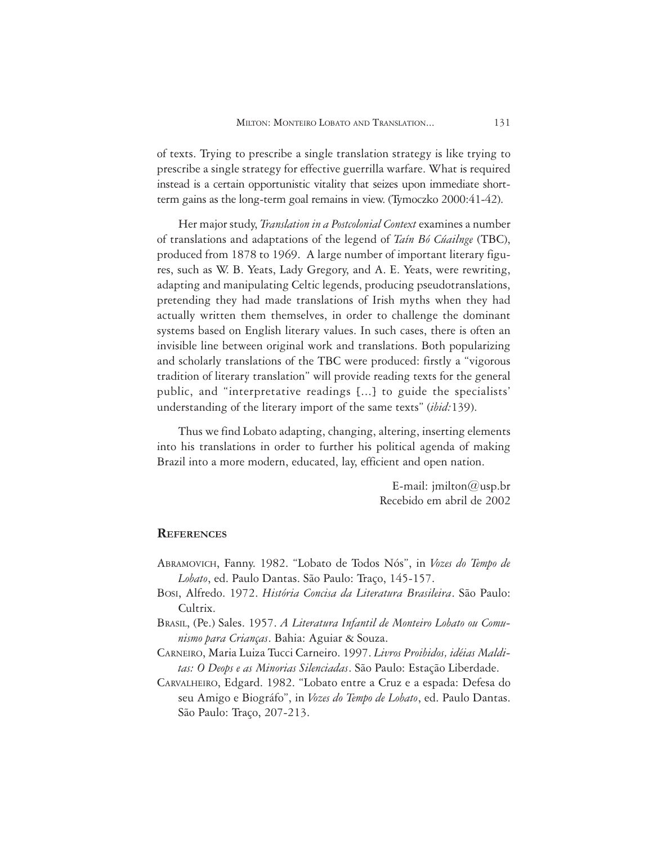of texts. Trying to prescribe a single translation strategy is like trying to prescribe a single strategy for effective guerrilla warfare. What is required instead is a certain opportunistic vitality that seizes upon immediate shortterm gains as the long-term goal remains in view. (Tymoczko 2000:41-42).

Her major study, *Translation in a Postcolonial Context* examines a number of translations and adaptations of the legend of *Taín Bó Cúailnge* (TBC), produced from 1878 to 1969. A large number of important literary figures, such as W. B. Yeats, Lady Gregory, and A. E. Yeats, were rewriting, adapting and manipulating Celtic legends, producing pseudotranslations, pretending they had made translations of Irish myths when they had actually written them themselves, in order to challenge the dominant systems based on English literary values. In such cases, there is often an invisible line between original work and translations. Both popularizing and scholarly translations of the TBC were produced: firstly a "vigorous tradition of literary translation" will provide reading texts for the general public, and "interpretative readings [...] to guide the specialists' understanding of the literary import of the same texts" (*ibid:*139).

Thus we find Lobato adapting, changing, altering, inserting elements into his translations in order to further his political agenda of making Brazil into a more modern, educated, lay, efficient and open nation.

> E-mail: jmilton@usp.br Recebido em abril de 2002

## **REFERENCES**

- ABRAMOVICH, Fanny. 1982. "Lobato de Todos Nós", in *Vozes do Tempo de Lobato*, ed. Paulo Dantas. São Paulo: Traço, 145-157.
- BOSI, Alfredo. 1972. *História Concisa da Literatura Brasileira*. São Paulo: Cultrix.
- BRASIL, (Pe.) Sales. 1957. *A Literatura Infantil de Monteiro Lobato ou Comunismo para Crianças*. Bahia: Aguiar & Souza.
- CARNEIRO, Maria Luiza Tucci Carneiro. 1997. *Livros Proibidos, idéias Malditas: O Deops e as Minorias Silenciadas*. São Paulo: Estação Liberdade.
- CARVALHEIRO, Edgard. 1982. "Lobato entre a Cruz e a espada: Defesa do seu Amigo e Biográfo", in *Vozes do Tempo de Lobato*, ed. Paulo Dantas. São Paulo: Traço, 207-213.